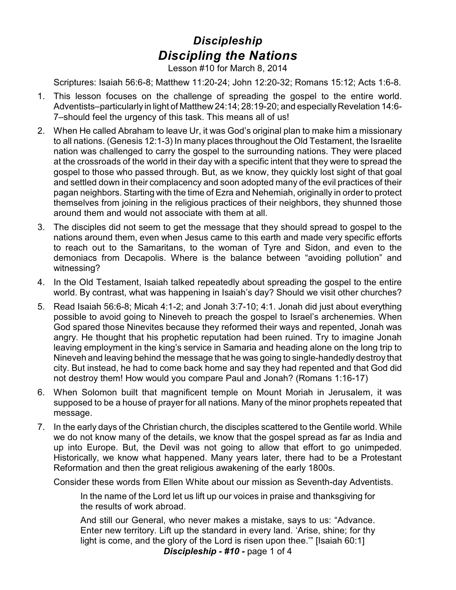## *Discipleship Discipling the Nations*

Lesson #10 for March 8, 2014

Scriptures: Isaiah 56:6-8; Matthew 11:20-24; John 12:20-32; Romans 15:12; Acts 1:6-8.

- 1. This lesson focuses on the challenge of spreading the gospel to the entire world. Adventists–particularly in light of Matthew 24:14; 28:19-20; and especially Revelation 14:6-7–should feel the urgency of this task. This means all of us!
- 2. When He called Abraham to leave Ur, it was God's original plan to make him a missionary to all nations. (Genesis 12:1-3) In many places throughout the Old Testament, the Israelite nation was challenged to carry the gospel to the surrounding nations. They were placed at the crossroads of the world in their day with a specific intent that they were to spread the gospel to those who passed through. But, as we know, they quickly lost sight of that goal and settled down in their complacency and soon adopted many of the evil practices of their pagan neighbors. Starting with the time of Ezra and Nehemiah, originally in order to protect themselves from joining in the religious practices of their neighbors, they shunned those around them and would not associate with them at all.
- 3. The disciples did not seem to get the message that they should spread to gospel to the nations around them, even when Jesus came to this earth and made very specific efforts to reach out to the Samaritans, to the woman of Tyre and Sidon, and even to the demoniacs from Decapolis. Where is the balance between "avoiding pollution" and witnessing?
- 4. In the Old Testament, Isaiah talked repeatedly about spreading the gospel to the entire world. By contrast, what was happening in Isaiah's day? Should we visit other churches?
- 5. Read Isaiah 56:6-8; Micah 4:1-2; and Jonah 3:7-10; 4:1. Jonah did just about everything possible to avoid going to Nineveh to preach the gospel to Israel's archenemies. When God spared those Ninevites because they reformed their ways and repented, Jonah was angry. He thought that his prophetic reputation had been ruined. Try to imagine Jonah leaving employment in the king's service in Samaria and heading alone on the long trip to Nineveh and leaving behind the message that he was going to single-handedly destroy that city. But instead, he had to come back home and say they had repented and that God did not destroy them! How would you compare Paul and Jonah? (Romans 1:16-17)
- 6. When Solomon built that magnificent temple on Mount Moriah in Jerusalem, it was supposed to be a house of prayer for all nations. Many of the minor prophets repeated that message.
- 7. In the early days of the Christian church, the disciples scattered to the Gentile world. While we do not know many of the details, we know that the gospel spread as far as India and up into Europe. But, the Devil was not going to allow that effort to go unimpeded. Historically, we know what happened. Many years later, there had to be a Protestant Reformation and then the great religious awakening of the early 1800s.

Consider these words from Ellen White about our mission as Seventh-day Adventists.

In the name of the Lord let us lift up our voices in praise and thanksgiving for the results of work abroad.

And still our General, who never makes a mistake, says to us: "Advance. Enter new territory. Lift up the standard in every land. 'Arise, shine; for thy light is come, and the glory of the Lord is risen upon thee.'" [Isaiah 60:1] *Discipleship - #10 -* page 1 of 4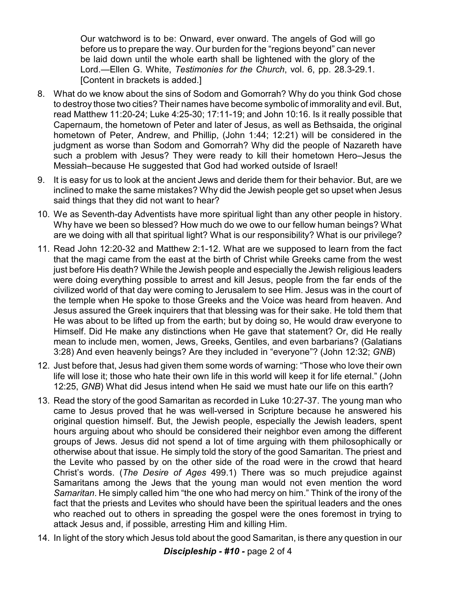Our watchword is to be: Onward, ever onward. The angels of God will go before us to prepare the way. Our burden for the "regions beyond" can never be laid down until the whole earth shall be lightened with the glory of the Lord.—Ellen G. White, *Testimonies for the Church*, vol. 6, pp. 28.3-29.1. [Content in brackets is added.]

- 8. What do we know about the sins of Sodom and Gomorrah? Why do you think God chose to destroy those two cities? Their names have become symbolic of immorality and evil. But, read Matthew 11:20-24; Luke 4:25-30; 17:11-19; and John 10:16. Is it really possible that Capernaum, the hometown of Peter and later of Jesus, as well as Bethsaida, the original hometown of Peter, Andrew, and Phillip, (John 1:44; 12:21) will be considered in the judgment as worse than Sodom and Gomorrah? Why did the people of Nazareth have such a problem with Jesus? They were ready to kill their hometown Hero–Jesus the Messiah–because He suggested that God had worked outside of Israel!
- 9. It is easy for us to look at the ancient Jews and deride them for their behavior. But, are we inclined to make the same mistakes? Why did the Jewish people get so upset when Jesus said things that they did not want to hear?
- 10. We as Seventh-day Adventists have more spiritual light than any other people in history. Why have we been so blessed? How much do we owe to our fellow human beings? What are we doing with all that spiritual light? What is our responsibility? What is our privilege?
- 11. Read John 12:20-32 and Matthew 2:1-12. What are we supposed to learn from the fact that the magi came from the east at the birth of Christ while Greeks came from the west just before His death? While the Jewish people and especially the Jewish religious leaders were doing everything possible to arrest and kill Jesus, people from the far ends of the civilized world of that day were coming to Jerusalem to see Him. Jesus was in the court of the temple when He spoke to those Greeks and the Voice was heard from heaven. And Jesus assured the Greek inquirers that that blessing was for their sake. He told them that He was about to be lifted up from the earth; but by doing so, He would draw everyone to Himself. Did He make any distinctions when He gave that statement? Or, did He really mean to include men, women, Jews, Greeks, Gentiles, and even barbarians? (Galatians 3:28) And even heavenly beings? Are they included in "everyone"? (John 12:32; *GNB*)
- 12. Just before that, Jesus had given them some words of warning: "Those who love their own life will lose it; those who hate their own life in this world will keep it for life eternal." (John 12:25, *GNB*) What did Jesus intend when He said we must hate our life on this earth?
- 13. Read the story of the good Samaritan as recorded in Luke 10:27-37. The young man who came to Jesus proved that he was well-versed in Scripture because he answered his original question himself. But, the Jewish people, especially the Jewish leaders, spent hours arguing about who should be considered their neighbor even among the different groups of Jews. Jesus did not spend a lot of time arguing with them philosophically or otherwise about that issue. He simply told the story of the good Samaritan. The priest and the Levite who passed by on the other side of the road were in the crowd that heard Christ's words. (*The Desire of Ages* 499.1) There was so much prejudice against Samaritans among the Jews that the young man would not even mention the word *Samaritan*. He simply called him "the one who had mercy on him." Think of the irony of the fact that the priests and Levites who should have been the spiritual leaders and the ones who reached out to others in spreading the gospel were the ones foremost in trying to attack Jesus and, if possible, arresting Him and killing Him.
- 14. In light of the story which Jesus told about the good Samaritan, is there any question in our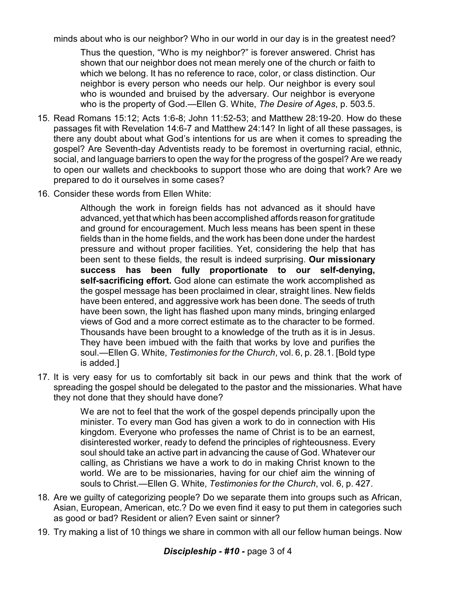minds about who is our neighbor? Who in our world in our day is in the greatest need?

Thus the question, "Who is my neighbor?" is forever answered. Christ has shown that our neighbor does not mean merely one of the church or faith to which we belong. It has no reference to race, color, or class distinction. Our neighbor is every person who needs our help. Our neighbor is every soul who is wounded and bruised by the adversary. Our neighbor is everyone who is the property of God.—Ellen G. White, *The Desire of Ages*, p. 503.5.

- 15. Read Romans 15:12; Acts 1:6-8; John 11:52-53; and Matthew 28:19-20. How do these passages fit with Revelation 14:6-7 and Matthew 24:14? In light of all these passages, is there any doubt about what God's intentions for us are when it comes to spreading the gospel? Are Seventh-day Adventists ready to be foremost in overturning racial, ethnic, social, and language barriers to open the way for the progress of the gospel? Are we ready to open our wallets and checkbooks to support those who are doing that work? Are we prepared to do it ourselves in some cases?
- 16. Consider these words from Ellen White:

Although the work in foreign fields has not advanced as it should have advanced, yet that which has been accomplished affords reason for gratitude and ground for encouragement. Much less means has been spent in these fields than in the home fields, and the work has been done under the hardest pressure and without proper facilities. Yet, considering the help that has been sent to these fields, the result is indeed surprising. **Our missionary success has been fully proportionate to our self-denying, self-sacrificing effort.** God alone can estimate the work accomplished as the gospel message has been proclaimed in clear, straight lines. New fields have been entered, and aggressive work has been done. The seeds of truth have been sown, the light has flashed upon many minds, bringing enlarged views of God and a more correct estimate as to the character to be formed. Thousands have been brought to a knowledge of the truth as it is in Jesus. They have been imbued with the faith that works by love and purifies the soul.—Ellen G. White, *Testimonies for the Church*, vol. 6, p. 28.1. [Bold type is added.]

17. It is very easy for us to comfortably sit back in our pews and think that the work of spreading the gospel should be delegated to the pastor and the missionaries. What have they not done that they should have done?

> We are not to feel that the work of the gospel depends principally upon the minister. To every man God has given a work to do in connection with His kingdom. Everyone who professes the name of Christ is to be an earnest, disinterested worker, ready to defend the principles of righteousness. Every soul should take an active part in advancing the cause of God. Whatever our calling, as Christians we have a work to do in making Christ known to the world. We are to be missionaries, having for our chief aim the winning of souls to Christ.—Ellen G. White, *Testimonies for the Church*, vol. 6, p. 427.

- 18. Are we guilty of categorizing people? Do we separate them into groups such as African, Asian, European, American, etc.? Do we even find it easy to put them in categories such as good or bad? Resident or alien? Even saint or sinner?
- 19. Try making a list of 10 things we share in common with all our fellow human beings. Now